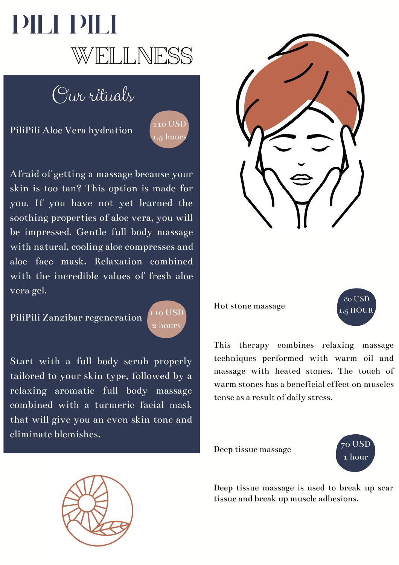

Our rituals

PiliPili Aloe Vera hydration



Afraid of getting a massage because your skin is too tan? This option is made for you. If you have not yet learned the soothing properties of aloe vera, you will be impressed. Gentle full body massage with natural, cooling aloe compresses and aloe face mask. Relaxation combined with the incredible values of fresh aloe vera gel.

PiliPili Zanzibar regeneration



Start with a full body scrub properly tailored to your skin type, followed by a relaxing aromatic full body massage combined with a turmeric facial mask that will give you an even skin tone and eliminate blemishes.



Hot stone massage



This therapy combines relaxing massage techniques performed with warm oil and massage with heated stones. The touch of warm stones has a beneficial effect on muscles tense as a result of daily stress.

Deep tissue massage





Deep tissue massage is used to break up scar tissue and break up muscle adhesions.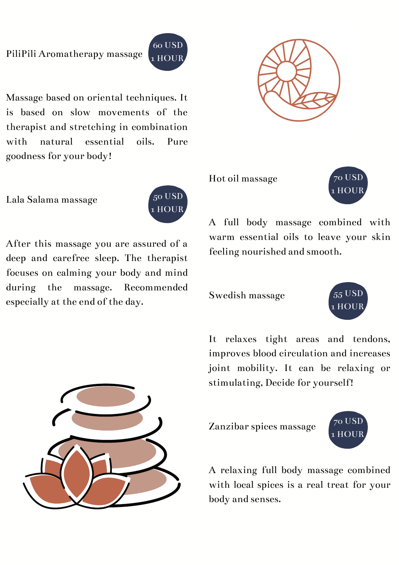## PiliPili Aromatherapy massage

Massage based on oriental techniques. It is based on slow movements of the therapist and stretching in combination with natural essential oils. Pure goodness for your body!

Lala Salama massage



60 USD 1 HOUR

After this massage you are assured of a deep and carefree sleep. The therapist focuses on calming your body and mind during the massage. Recommended especially at the end of the day.





Hot oil massage



A full body massage combined with warm essential oils to leave your skin feeling nourished and smooth.

Swedish massage



It relaxes tight areas and tendons, improves blood circulation and increases joint mobility. It can be relaxing or stimulating, Decide for yourself!

Zanzibar spices massage



A relaxing full body massage combined with local spices is a real treat for your body and senses.